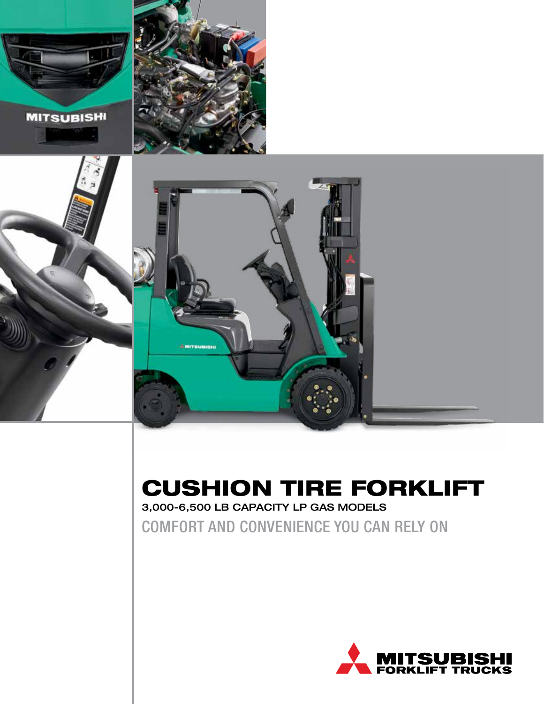





## CUSHION TIRE FORKLIFT

3,000-6,500 LB CAPACITY LP GAS MODELS

COMFORT AND CONVENIENCE YOU CAN RELY ON

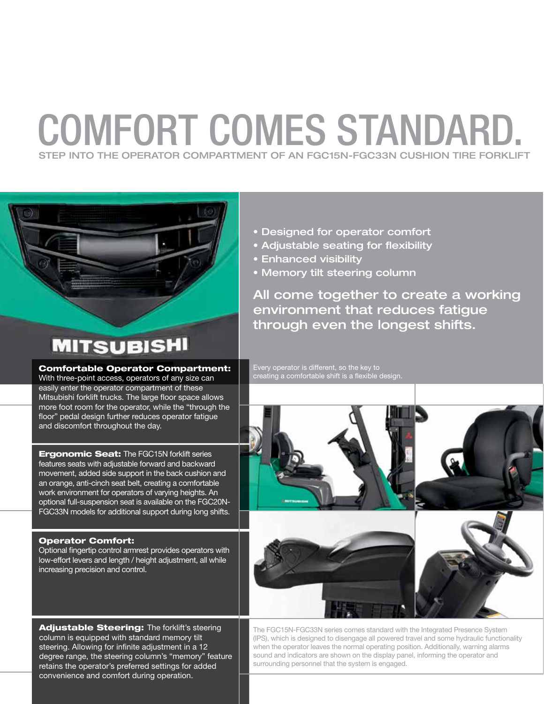## COMFORT COMES STANDARD. STEP INTO THE OPERATOR COMPARTMENT OF AN FGC15N-FGC33N CUSHION TIRE FORKLIFT



### **MITSUBISHI**

#### Comfortable Operator Compartment:

With three-point access, operators of any size can easily enter the operator compartment of these Mitsubishi forklift trucks. The large floor space allows more foot room for the operator, while the "through the floor" pedal design further reduces operator fatigue and discomfort throughout the day.

**Ergonomic Seat:** The FGC15N forklift series features seats with adjustable forward and backward movement, added side support in the back cushion and an orange, anti-cinch seat belt, creating a comfortable work environment for operators of varying heights. An optional full-suspension seat is available on the FGC20N-FGC33N models for additional support during long shifts.

#### Operator Comfort:

Optional fingertip control armrest provides operators with low-effort levers and length / height adjustment, all while increasing precision and control.

Adjustable Steering: The forklift's steering column is equipped with standard memory tilt steering. Allowing for infinite adjustment in a 12 degree range, the steering column's "memory" feature retains the operator's preferred settings for added convenience and comfort during operation.

- Designed for operator comfort
- Adjustable seating for flexibility
- Enhanced visibility
- Memory tilt steering column

All come together to create a working environment that reduces fatigue through even the longest shifts.

Every operator is different, so the key to creating a comfortable shift is a flexible design.



The FGC15N-FGC33N series comes standard with the Integrated Presence System (IPS), which is designed to disengage all powered travel and some hydraulic functionality when the operator leaves the normal operating position. Additionally, warning alarms sound and indicators are shown on the display panel, informing the operator and surrounding personnel that the system is engaged.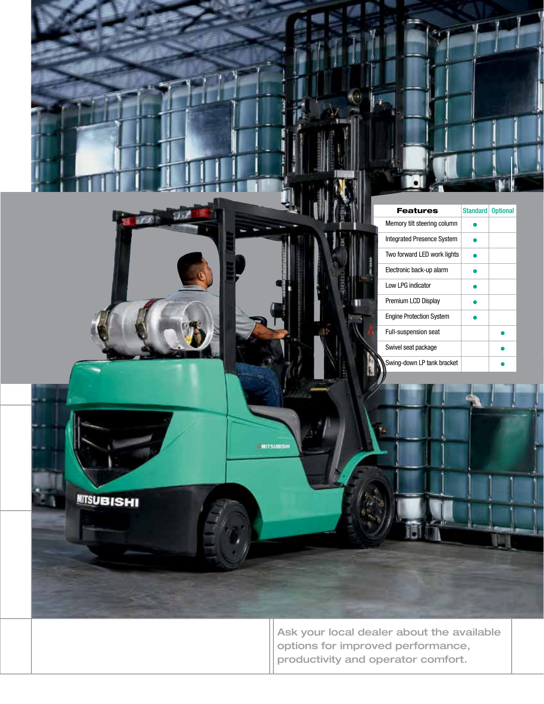|                   | Standard Optional<br><b>Features</b>                                                                                 |
|-------------------|----------------------------------------------------------------------------------------------------------------------|
|                   | Memory tilt steering column<br>$\bullet$                                                                             |
|                   | Integrated Presence System<br>$\bullet$                                                                              |
|                   | Two forward LED work lights<br>$\bullet$                                                                             |
|                   | Electronic back-up alarm<br>$\bullet$                                                                                |
|                   | Low LPG indicator<br>$\bullet$                                                                                       |
|                   | Premium LCD Display<br>$\bullet$<br>Engine Protection System                                                         |
|                   | $\bullet$<br>Full-suspension seat<br>$\bullet$                                                                       |
|                   | Swivel seat package<br>$\bullet$                                                                                     |
|                   | Swing-down LP tank bracket                                                                                           |
| <b>MITSUBISHI</b> | AMITSUBISHI                                                                                                          |
|                   | Ask your local dealer about the available<br>options for improved performance,<br>productivity and operator comfort. |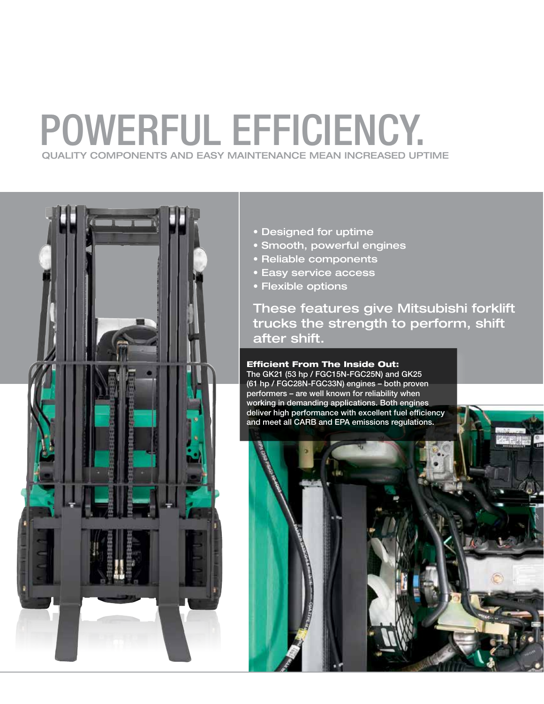## POWERFUL EFFICIENCY. QUALITY COMPONENTS AND EASY MAINTENANCE MEAN INCREASED UPTIME



- Designed for uptime
- Smooth, powerful engines
- Reliable components
- Easy service access
- Flexible options

These features give Mitsubishi forklift trucks the strength to perform, shift after shift.

#### Efficient From The Inside Out:

The GK21 (53 hp / FGC15N-FGC25N) and GK25 (61 hp / FGC28N-FGC33N) engines – both proven performers – are well known for reliability when working in demanding applications. Both engines deliver high performance with excellent fuel efficiency and meet all CARB and EPA emissions regulations.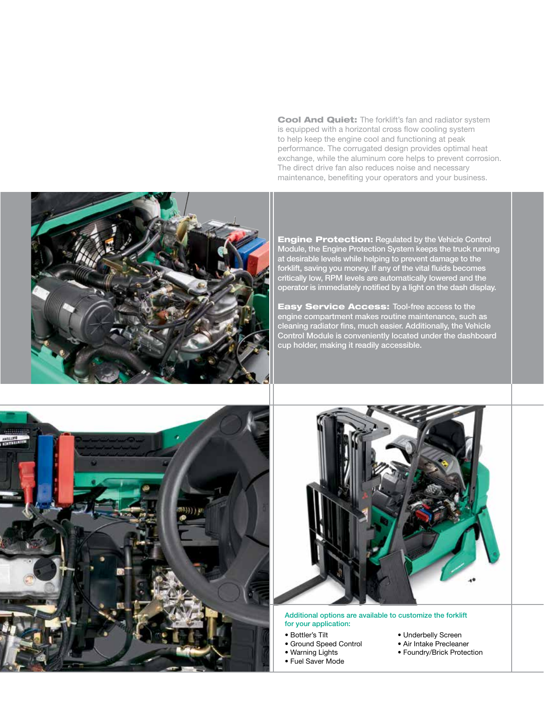Cool And Quiet: The forklift's fan and radiator system is equipped with a horizontal cross flow cooling system to help keep the engine cool and functioning at peak performance. The corrugated design provides optimal heat exchange, while the aluminum core helps to prevent corrosion. The direct drive fan also reduces noise and necessary maintenance, benefiting your operators and your business.



**Engine Protection: Regulated by the Vehicle Control** Module, the Engine Protection System keeps the truck running at desirable levels while helping to prevent damage to the forklift, saving you money. If any of the vital fluids becomes critically low, RPM levels are automatically lowered and the operator is immediately notified by a light on the dash display.

**Easy Service Access: Tool-free access to the** engine compartment makes routine maintenance, such as cleaning radiator fins, much easier. Additionally, the Vehicle Control Module is conveniently located under the dashboard cup holder, making it readily accessible.





Additional options are available to customize the forklift for your application:

- Bottler's Tilt
- Ground Speed Control
- Warning Lights
- Fuel Saver Mode
- Underbelly Screen
- Air Intake Precleaner
- Foundry/Brick Protection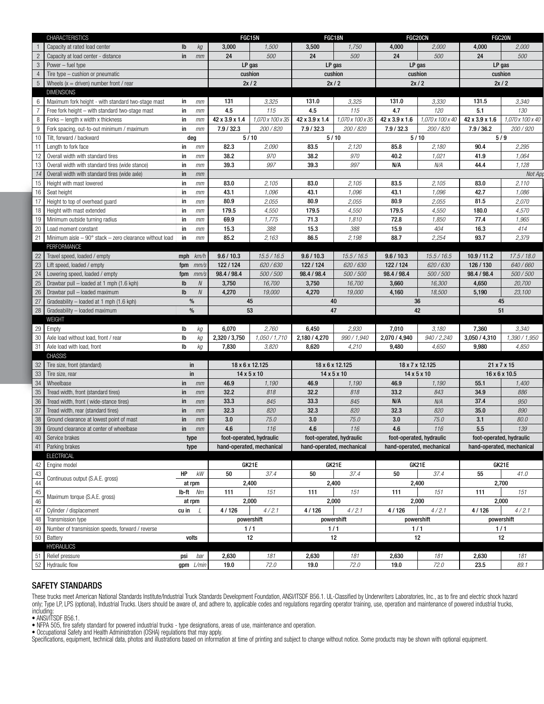| 1,500<br>3,500<br>1,750<br>2,000<br>Capacity at rated load center<br>$\mathsf{lb}$ $\mathsf{k}\mathsf{g}$<br>3,000<br>4,000<br>4,000<br>2,000<br>500<br>24<br>500<br>$in$ $mm$<br>24<br>500<br>24<br>500<br>24<br>Capacity at load center - distance<br>Power $-$ fuel type<br>LP gas<br>LP gas<br>LP gas<br>LP gas<br>$4$ Tire type – cushion or pneumatic<br>cushion<br>cushion<br>cushion<br>cushion<br>2x/2<br>5 Wheels $(x =$ driven) number front / rear<br>2x/2<br>2x/2<br>2x/2<br><b>DIMENSIONS</b><br>6   Maximum fork height - with standard two-stage mast<br>3,325<br>131.0<br>3,325<br>3,330<br>in $mm$<br>131<br>131.0<br>131.5<br>3,340<br>4.5<br>4.7<br>7 Free fork height - with standard two-stage mast<br>4.5<br>115<br>5.1<br>130<br>115<br>120<br>in $mm$<br>8   Forks - length x width x thickness<br>42 x 3.9 x 1.4<br>1,070 x 100 x 35<br>42 x 3.9 x 1.4<br>1,070 x 100 x 35<br>42 x 3.9 x 1.6<br>1,070 x 100 x 40<br>42 x 3.9 x 1.6<br>in<br>mm<br>200 / 820<br>7.9 / 32.3<br>7.9 / 32.3<br>200 / 820<br>7.9 / 32.3<br>200 / 820<br>7.9 / 36.2<br>200 / 920<br>9 Fork spacing, out-to-out minimum / maximum<br>in $mm$<br>5/10<br>5/9<br>10   Tilt, forward / backward<br>5/10<br>5/10<br>deg<br>82.3<br>83.5<br>85.8<br>90.4<br>2,295<br>11 Length to fork face<br>in<br>2,090<br>2,120<br>2,180<br>mm<br>12 Overall width with standard tires<br>38.2<br>970<br>38.2<br>970<br>40.2<br>1,021<br>41.9<br>1,064<br>in<br>mm<br>39.3<br>997<br>39.3<br>997<br>N/A<br>N/A<br>44.4<br>1,128<br>13 Overall width with standard tires (wide stance)<br>in<br>mm<br>14 Overall width with standard tires (wide axle)<br>in<br>mm<br>15 Height with mast lowered<br>83.0<br>2,105<br>83.5<br>2,105<br>83.0<br>2,110<br>in<br>83.0<br>2,105<br>mm<br>16 Seat height<br>42.7<br>in<br>1,096<br>43.1<br>1,096<br>43.1<br>1,096<br>1,086<br>43.1<br>mm<br>17 Height to top of overhead guard<br>2,070<br>2,055<br>80.9<br>2,055<br>80.9<br>2,055<br>81.5<br>in<br>80.9<br>mm<br>18 Height with mast extended<br>in<br>179.5<br>4,550<br>179.5<br>4,550<br>179.5<br>4,550<br>180.0<br>4,570<br>mm<br>19 Minimum outside turning radius<br>1,775<br>1,810<br>72.8<br>1,850<br>1,965<br>in<br>69.9<br>71.3<br>77.4<br>mm<br>20 Load moment constant<br>388<br>15.9<br>404<br>414<br>15.3<br>388<br>15.3<br>16.3<br>in $mm$<br>2,198<br>88.7<br>2,254<br>2,379<br>21 Minimum aisle $-90^\circ$ stack $-$ zero clearance without load in<br>85.2<br>2,163<br>86.5<br>93.7<br>mm<br>PERFORMANCE<br>22 Travel speed, loaded / empty<br>9.6 / 10.3<br>15.5 / 16.5<br>15.5 / 16.5<br>15.5 / 16.5<br>10.9 / 11.2<br>17.5 / 18.0<br>9.6 / 10.3<br>9.6 / 10.3<br>mph $km/h$<br>23 Lift speed, loaded / empty<br>122/124<br>620/630<br>122 / 124<br>620/630<br>122/124<br>620/630<br>126 / 130<br>640/660<br>fpm $mm$<br>24 Lowering speed, loaded / empty<br>98.4 / 98.4<br>500 / 500<br>98.4 / 98.4<br>500/500<br>98.4 / 98.4<br>500 / 500<br>98.4 / 98.4<br>500/500<br>fpm $mm/s$<br>25 Drawbar pull - loaded at 1 mph (1.6 kph)<br>3,750<br>3,750<br>16,700<br>3,660<br>4,650<br>20,700<br>$\mathsf{lb}$<br>16,700<br>16,300<br>N<br>26 Drawbar pull - loaded maximum<br>19,000<br>4,270<br>19,000<br>23,100<br>$\mathsf{lb}$<br>4,270<br>4,160<br>18,500<br>5,190<br>$\sqrt{ }$<br>27 Gradeability - loaded at 1 mph (1.6 kph)<br>%<br>45<br>40<br>36<br>45<br>28 Gradeability - loaded maximum<br>53<br>47<br>42<br>%<br>51<br><b>WEIGHT</b><br>29 Empty<br>2,930<br>3,340<br>lb<br>kg<br>6,070<br>2,760<br>6,450<br>7,010<br>3,180<br>7,360<br>30 Axle load without load, front / rear<br>940 / 2,240<br>lb<br>2,320 / 3,750<br>1,050 / 1,710<br>2,180 / 4,270<br>990 / 1,940<br>2,070 / 4,940<br>3,050/4,310<br>1,390 / 1,950<br>kg<br>4,650<br>31 Axle load with load, front<br>lb<br>7,830<br>3,820<br>8,620<br>4,210<br>9,480<br>9,980<br>4,850<br>kg<br><b>CHASSIS</b><br>32 Tire size, front (standard)<br>18 x 7 x 12.125<br>in<br>18 x 6 x 12.125<br>18 x 6 x 12.125<br>21 x 7 x 15<br>33 Tire size, rear<br>in<br>$14 \times 5 \times 10$<br>$14 \times 5 \times 10$<br>$14 \times 5 \times 10$<br>$16 \times 6 \times 10.5$<br>34 Wheelbase<br>46.9<br>46.9<br>1,190<br>46.9<br>1,190<br>55.1<br>1,400<br>$in$ $mm$<br>1,190<br>886<br>$in$ $mm$<br>32.2<br>818<br>33.2<br>843<br>34.9<br>Tread width, front (standard tires)<br>32.2<br>818<br>N/A<br>845<br>33.3<br>845<br>N/A<br>37.4<br>950<br>Tread width, front (wide-stance tires)<br>$\mathsf{in}$ $\mathsf{mm}$<br>33.3<br>820<br>32.3<br>820<br>32.3<br>32.3<br>820<br>35.0<br>890<br>Tread width, rear (standard tires)<br>$in$ $mm$<br>75.0<br>3.0<br>75.0<br>80.0<br>3.0<br>75.0<br>3.0<br>3.1<br>Ground clearance at lowest point of mast<br>$\mathsf{in}$ $\mathsf{mm}$<br>39 Ground clearance at center of wheelbase<br>116<br>4.6<br>116<br>4.6<br>116<br>5.5<br>139<br>in<br>4.6<br>mm<br>40 Service brakes<br>41 Parking brakes<br>foot-operated, hydraulic<br>foot-operated, hydraulic<br>foot-operated, hydraulic<br>foot-operated, hydraulic<br>type<br>hand-operated, mechanical<br>hand-operated, mechanical<br>hand-operated, mechanical<br>hand-operated, mechanical<br>type<br><b>ELECTRICAL</b><br>42 Engine model<br>GK21E<br>GK21E<br>GK21E<br>GK21E<br>50<br>37.4<br>50<br>37.4<br>50<br>37.4<br>55<br>41.0<br>$HP$ $kW$<br>Continuous output (S.A.E. gross)<br>2,700<br>2,400<br>2,400<br>2,400<br>at rpm<br>$\begin{array}{c l}\n\hline\n45 & \text{Maximum torque (S.A.E.}\n\hline\n46 & \text{Maximum torque (S.A.E.}\n\end{array}$<br>$lb$ -ft $Nm$<br>111<br>111<br>111<br>151<br>151<br>151<br>111<br>151<br>Maximum torque (S.A.E. gross)<br>2,000<br>2,000<br>2,000<br>2,000<br>at rpm<br>4/126<br>4/126<br>4/2.1<br>4/126<br>4/126<br>4/2.1<br>4/2.1<br>4/2.1<br>cu in $\angle$<br>48 Transmission type<br>powershift<br>powershift<br>powershift<br>powershift<br>49 Number of transmission speeds, forward / reverse<br>1/1<br>1/1<br>1/1<br>1/1<br>50 Battery<br>12<br>12<br>12<br>volts<br>12<br><b>HYDRAULICS</b><br>51 Relief pressure<br>psi bar<br>2,630<br>181<br>2,630<br>181<br>2,630<br>181<br>2,630<br>181<br>52 Hydraulic flow<br>72.0<br>72.0<br>72.0<br>23.5<br>89.1<br>19.0<br>19.0<br>19.0<br>$gpm$ <i>L/min</i> |                 | <b>CHARACTERISTICS</b> | FGC15N | FGC18N |  | <b>FGC20CN</b> | FGC20N |  |
|-----------------------------------------------------------------------------------------------------------------------------------------------------------------------------------------------------------------------------------------------------------------------------------------------------------------------------------------------------------------------------------------------------------------------------------------------------------------------------------------------------------------------------------------------------------------------------------------------------------------------------------------------------------------------------------------------------------------------------------------------------------------------------------------------------------------------------------------------------------------------------------------------------------------------------------------------------------------------------------------------------------------------------------------------------------------------------------------------------------------------------------------------------------------------------------------------------------------------------------------------------------------------------------------------------------------------------------------------------------------------------------------------------------------------------------------------------------------------------------------------------------------------------------------------------------------------------------------------------------------------------------------------------------------------------------------------------------------------------------------------------------------------------------------------------------------------------------------------------------------------------------------------------------------------------------------------------------------------------------------------------------------------------------------------------------------------------------------------------------------------------------------------------------------------------------------------------------------------------------------------------------------------------------------------------------------------------------------------------------------------------------------------------------------------------------------------------------------------------------------------------------------------------------------------------------------------------------------------------------------------------------------------------------------------------------------------------------------------------------------------------------------------------------------------------------------------------------------------------------------------------------------------------------------------------------------------------------------------------------------------------------------------------------------------------------------------------------------------------------------------------------------------------------------------------------------------------------------------------------------------------------------------------------------------------------------------------------------------------------------------------------------------------------------------------------------------------------------------------------------------------------------------------------------------------------------------------------------------------------------------------------------------------------------------------------------------------------------------------------------------------------------------------------------------------------------------------------------------------------------------------------------------------------------------------------------------------------------------------------------------------------------------------------------------------------------------------------------------------------------------------------------------------------------------------------------------------------------------------------------------------------------------------------------------------------------------------------------------------------------------------------------------------------------------------------------------------------------------------------------------------------------------------------------------------------------------------------------------------------------------------------------------------------------------------------------------------------------------------------------------------------------------------------------------------------------------------------------------------------------------------------------------------------------------------------------------------------------------------------------------------------------------------------------------------------------------------------------------------------------------------------------------------------------------------------------------------------------------------------------------------------------------------------------------------------------------------------------------------------------------------------------------------------------------------------------------------------------------------------------------------------------------------------------------------------------------------------------------------------------------------------------------------------------------------------------------------------------------------------------------------------------------------------------------------------------------------------------------------------------------------------------------------------------------------------------------------------------------------------------------------------------------------------------------------------------------------------------------------------------------------------------------------------------------------------------------------------------------------------------------|-----------------|------------------------|--------|--------|--|----------------|--------|--|
| 1.070 x 100 x 40<br>Not App                                                                                                                                                                                                                                                                                                                                                                                                                                                                                                                                                                                                                                                                                                                                                                                                                                                                                                                                                                                                                                                                                                                                                                                                                                                                                                                                                                                                                                                                                                                                                                                                                                                                                                                                                                                                                                                                                                                                                                                                                                                                                                                                                                                                                                                                                                                                                                                                                                                                                                                                                                                                                                                                                                                                                                                                                                                                                                                                                                                                                                                                                                                                                                                                                                                                                                                                                                                                                                                                                                                                                                                                                                                                                                                                                                                                                                                                                                                                                                                                                                                                                                                                                                                                                                                                                                                                                                                                                                                                                                                                                                                                                                                                                                                                                                                                                                                                                                                                                                                                                                                                                                                                                                                                                                                                                                                                                                                                                                                                                                                                                                                                                                                                                                                                                                                                                                                                                                                                                                                                                                                                                                                                                                                                                   | $\overline{1}$  |                        |        |        |  |                |        |  |
|                                                                                                                                                                                                                                                                                                                                                                                                                                                                                                                                                                                                                                                                                                                                                                                                                                                                                                                                                                                                                                                                                                                                                                                                                                                                                                                                                                                                                                                                                                                                                                                                                                                                                                                                                                                                                                                                                                                                                                                                                                                                                                                                                                                                                                                                                                                                                                                                                                                                                                                                                                                                                                                                                                                                                                                                                                                                                                                                                                                                                                                                                                                                                                                                                                                                                                                                                                                                                                                                                                                                                                                                                                                                                                                                                                                                                                                                                                                                                                                                                                                                                                                                                                                                                                                                                                                                                                                                                                                                                                                                                                                                                                                                                                                                                                                                                                                                                                                                                                                                                                                                                                                                                                                                                                                                                                                                                                                                                                                                                                                                                                                                                                                                                                                                                                                                                                                                                                                                                                                                                                                                                                                                                                                                                                               | $\overline{2}$  |                        |        |        |  |                |        |  |
|                                                                                                                                                                                                                                                                                                                                                                                                                                                                                                                                                                                                                                                                                                                                                                                                                                                                                                                                                                                                                                                                                                                                                                                                                                                                                                                                                                                                                                                                                                                                                                                                                                                                                                                                                                                                                                                                                                                                                                                                                                                                                                                                                                                                                                                                                                                                                                                                                                                                                                                                                                                                                                                                                                                                                                                                                                                                                                                                                                                                                                                                                                                                                                                                                                                                                                                                                                                                                                                                                                                                                                                                                                                                                                                                                                                                                                                                                                                                                                                                                                                                                                                                                                                                                                                                                                                                                                                                                                                                                                                                                                                                                                                                                                                                                                                                                                                                                                                                                                                                                                                                                                                                                                                                                                                                                                                                                                                                                                                                                                                                                                                                                                                                                                                                                                                                                                                                                                                                                                                                                                                                                                                                                                                                                                               | 3 <sup>5</sup>  |                        |        |        |  |                |        |  |
|                                                                                                                                                                                                                                                                                                                                                                                                                                                                                                                                                                                                                                                                                                                                                                                                                                                                                                                                                                                                                                                                                                                                                                                                                                                                                                                                                                                                                                                                                                                                                                                                                                                                                                                                                                                                                                                                                                                                                                                                                                                                                                                                                                                                                                                                                                                                                                                                                                                                                                                                                                                                                                                                                                                                                                                                                                                                                                                                                                                                                                                                                                                                                                                                                                                                                                                                                                                                                                                                                                                                                                                                                                                                                                                                                                                                                                                                                                                                                                                                                                                                                                                                                                                                                                                                                                                                                                                                                                                                                                                                                                                                                                                                                                                                                                                                                                                                                                                                                                                                                                                                                                                                                                                                                                                                                                                                                                                                                                                                                                                                                                                                                                                                                                                                                                                                                                                                                                                                                                                                                                                                                                                                                                                                                                               |                 |                        |        |        |  |                |        |  |
|                                                                                                                                                                                                                                                                                                                                                                                                                                                                                                                                                                                                                                                                                                                                                                                                                                                                                                                                                                                                                                                                                                                                                                                                                                                                                                                                                                                                                                                                                                                                                                                                                                                                                                                                                                                                                                                                                                                                                                                                                                                                                                                                                                                                                                                                                                                                                                                                                                                                                                                                                                                                                                                                                                                                                                                                                                                                                                                                                                                                                                                                                                                                                                                                                                                                                                                                                                                                                                                                                                                                                                                                                                                                                                                                                                                                                                                                                                                                                                                                                                                                                                                                                                                                                                                                                                                                                                                                                                                                                                                                                                                                                                                                                                                                                                                                                                                                                                                                                                                                                                                                                                                                                                                                                                                                                                                                                                                                                                                                                                                                                                                                                                                                                                                                                                                                                                                                                                                                                                                                                                                                                                                                                                                                                                               |                 |                        |        |        |  |                |        |  |
|                                                                                                                                                                                                                                                                                                                                                                                                                                                                                                                                                                                                                                                                                                                                                                                                                                                                                                                                                                                                                                                                                                                                                                                                                                                                                                                                                                                                                                                                                                                                                                                                                                                                                                                                                                                                                                                                                                                                                                                                                                                                                                                                                                                                                                                                                                                                                                                                                                                                                                                                                                                                                                                                                                                                                                                                                                                                                                                                                                                                                                                                                                                                                                                                                                                                                                                                                                                                                                                                                                                                                                                                                                                                                                                                                                                                                                                                                                                                                                                                                                                                                                                                                                                                                                                                                                                                                                                                                                                                                                                                                                                                                                                                                                                                                                                                                                                                                                                                                                                                                                                                                                                                                                                                                                                                                                                                                                                                                                                                                                                                                                                                                                                                                                                                                                                                                                                                                                                                                                                                                                                                                                                                                                                                                                               |                 |                        |        |        |  |                |        |  |
|                                                                                                                                                                                                                                                                                                                                                                                                                                                                                                                                                                                                                                                                                                                                                                                                                                                                                                                                                                                                                                                                                                                                                                                                                                                                                                                                                                                                                                                                                                                                                                                                                                                                                                                                                                                                                                                                                                                                                                                                                                                                                                                                                                                                                                                                                                                                                                                                                                                                                                                                                                                                                                                                                                                                                                                                                                                                                                                                                                                                                                                                                                                                                                                                                                                                                                                                                                                                                                                                                                                                                                                                                                                                                                                                                                                                                                                                                                                                                                                                                                                                                                                                                                                                                                                                                                                                                                                                                                                                                                                                                                                                                                                                                                                                                                                                                                                                                                                                                                                                                                                                                                                                                                                                                                                                                                                                                                                                                                                                                                                                                                                                                                                                                                                                                                                                                                                                                                                                                                                                                                                                                                                                                                                                                                               |                 |                        |        |        |  |                |        |  |
|                                                                                                                                                                                                                                                                                                                                                                                                                                                                                                                                                                                                                                                                                                                                                                                                                                                                                                                                                                                                                                                                                                                                                                                                                                                                                                                                                                                                                                                                                                                                                                                                                                                                                                                                                                                                                                                                                                                                                                                                                                                                                                                                                                                                                                                                                                                                                                                                                                                                                                                                                                                                                                                                                                                                                                                                                                                                                                                                                                                                                                                                                                                                                                                                                                                                                                                                                                                                                                                                                                                                                                                                                                                                                                                                                                                                                                                                                                                                                                                                                                                                                                                                                                                                                                                                                                                                                                                                                                                                                                                                                                                                                                                                                                                                                                                                                                                                                                                                                                                                                                                                                                                                                                                                                                                                                                                                                                                                                                                                                                                                                                                                                                                                                                                                                                                                                                                                                                                                                                                                                                                                                                                                                                                                                                               |                 |                        |        |        |  |                |        |  |
|                                                                                                                                                                                                                                                                                                                                                                                                                                                                                                                                                                                                                                                                                                                                                                                                                                                                                                                                                                                                                                                                                                                                                                                                                                                                                                                                                                                                                                                                                                                                                                                                                                                                                                                                                                                                                                                                                                                                                                                                                                                                                                                                                                                                                                                                                                                                                                                                                                                                                                                                                                                                                                                                                                                                                                                                                                                                                                                                                                                                                                                                                                                                                                                                                                                                                                                                                                                                                                                                                                                                                                                                                                                                                                                                                                                                                                                                                                                                                                                                                                                                                                                                                                                                                                                                                                                                                                                                                                                                                                                                                                                                                                                                                                                                                                                                                                                                                                                                                                                                                                                                                                                                                                                                                                                                                                                                                                                                                                                                                                                                                                                                                                                                                                                                                                                                                                                                                                                                                                                                                                                                                                                                                                                                                                               |                 |                        |        |        |  |                |        |  |
|                                                                                                                                                                                                                                                                                                                                                                                                                                                                                                                                                                                                                                                                                                                                                                                                                                                                                                                                                                                                                                                                                                                                                                                                                                                                                                                                                                                                                                                                                                                                                                                                                                                                                                                                                                                                                                                                                                                                                                                                                                                                                                                                                                                                                                                                                                                                                                                                                                                                                                                                                                                                                                                                                                                                                                                                                                                                                                                                                                                                                                                                                                                                                                                                                                                                                                                                                                                                                                                                                                                                                                                                                                                                                                                                                                                                                                                                                                                                                                                                                                                                                                                                                                                                                                                                                                                                                                                                                                                                                                                                                                                                                                                                                                                                                                                                                                                                                                                                                                                                                                                                                                                                                                                                                                                                                                                                                                                                                                                                                                                                                                                                                                                                                                                                                                                                                                                                                                                                                                                                                                                                                                                                                                                                                                               |                 |                        |        |        |  |                |        |  |
|                                                                                                                                                                                                                                                                                                                                                                                                                                                                                                                                                                                                                                                                                                                                                                                                                                                                                                                                                                                                                                                                                                                                                                                                                                                                                                                                                                                                                                                                                                                                                                                                                                                                                                                                                                                                                                                                                                                                                                                                                                                                                                                                                                                                                                                                                                                                                                                                                                                                                                                                                                                                                                                                                                                                                                                                                                                                                                                                                                                                                                                                                                                                                                                                                                                                                                                                                                                                                                                                                                                                                                                                                                                                                                                                                                                                                                                                                                                                                                                                                                                                                                                                                                                                                                                                                                                                                                                                                                                                                                                                                                                                                                                                                                                                                                                                                                                                                                                                                                                                                                                                                                                                                                                                                                                                                                                                                                                                                                                                                                                                                                                                                                                                                                                                                                                                                                                                                                                                                                                                                                                                                                                                                                                                                                               |                 |                        |        |        |  |                |        |  |
|                                                                                                                                                                                                                                                                                                                                                                                                                                                                                                                                                                                                                                                                                                                                                                                                                                                                                                                                                                                                                                                                                                                                                                                                                                                                                                                                                                                                                                                                                                                                                                                                                                                                                                                                                                                                                                                                                                                                                                                                                                                                                                                                                                                                                                                                                                                                                                                                                                                                                                                                                                                                                                                                                                                                                                                                                                                                                                                                                                                                                                                                                                                                                                                                                                                                                                                                                                                                                                                                                                                                                                                                                                                                                                                                                                                                                                                                                                                                                                                                                                                                                                                                                                                                                                                                                                                                                                                                                                                                                                                                                                                                                                                                                                                                                                                                                                                                                                                                                                                                                                                                                                                                                                                                                                                                                                                                                                                                                                                                                                                                                                                                                                                                                                                                                                                                                                                                                                                                                                                                                                                                                                                                                                                                                                               |                 |                        |        |        |  |                |        |  |
|                                                                                                                                                                                                                                                                                                                                                                                                                                                                                                                                                                                                                                                                                                                                                                                                                                                                                                                                                                                                                                                                                                                                                                                                                                                                                                                                                                                                                                                                                                                                                                                                                                                                                                                                                                                                                                                                                                                                                                                                                                                                                                                                                                                                                                                                                                                                                                                                                                                                                                                                                                                                                                                                                                                                                                                                                                                                                                                                                                                                                                                                                                                                                                                                                                                                                                                                                                                                                                                                                                                                                                                                                                                                                                                                                                                                                                                                                                                                                                                                                                                                                                                                                                                                                                                                                                                                                                                                                                                                                                                                                                                                                                                                                                                                                                                                                                                                                                                                                                                                                                                                                                                                                                                                                                                                                                                                                                                                                                                                                                                                                                                                                                                                                                                                                                                                                                                                                                                                                                                                                                                                                                                                                                                                                                               |                 |                        |        |        |  |                |        |  |
|                                                                                                                                                                                                                                                                                                                                                                                                                                                                                                                                                                                                                                                                                                                                                                                                                                                                                                                                                                                                                                                                                                                                                                                                                                                                                                                                                                                                                                                                                                                                                                                                                                                                                                                                                                                                                                                                                                                                                                                                                                                                                                                                                                                                                                                                                                                                                                                                                                                                                                                                                                                                                                                                                                                                                                                                                                                                                                                                                                                                                                                                                                                                                                                                                                                                                                                                                                                                                                                                                                                                                                                                                                                                                                                                                                                                                                                                                                                                                                                                                                                                                                                                                                                                                                                                                                                                                                                                                                                                                                                                                                                                                                                                                                                                                                                                                                                                                                                                                                                                                                                                                                                                                                                                                                                                                                                                                                                                                                                                                                                                                                                                                                                                                                                                                                                                                                                                                                                                                                                                                                                                                                                                                                                                                                               |                 |                        |        |        |  |                |        |  |
|                                                                                                                                                                                                                                                                                                                                                                                                                                                                                                                                                                                                                                                                                                                                                                                                                                                                                                                                                                                                                                                                                                                                                                                                                                                                                                                                                                                                                                                                                                                                                                                                                                                                                                                                                                                                                                                                                                                                                                                                                                                                                                                                                                                                                                                                                                                                                                                                                                                                                                                                                                                                                                                                                                                                                                                                                                                                                                                                                                                                                                                                                                                                                                                                                                                                                                                                                                                                                                                                                                                                                                                                                                                                                                                                                                                                                                                                                                                                                                                                                                                                                                                                                                                                                                                                                                                                                                                                                                                                                                                                                                                                                                                                                                                                                                                                                                                                                                                                                                                                                                                                                                                                                                                                                                                                                                                                                                                                                                                                                                                                                                                                                                                                                                                                                                                                                                                                                                                                                                                                                                                                                                                                                                                                                                               |                 |                        |        |        |  |                |        |  |
|                                                                                                                                                                                                                                                                                                                                                                                                                                                                                                                                                                                                                                                                                                                                                                                                                                                                                                                                                                                                                                                                                                                                                                                                                                                                                                                                                                                                                                                                                                                                                                                                                                                                                                                                                                                                                                                                                                                                                                                                                                                                                                                                                                                                                                                                                                                                                                                                                                                                                                                                                                                                                                                                                                                                                                                                                                                                                                                                                                                                                                                                                                                                                                                                                                                                                                                                                                                                                                                                                                                                                                                                                                                                                                                                                                                                                                                                                                                                                                                                                                                                                                                                                                                                                                                                                                                                                                                                                                                                                                                                                                                                                                                                                                                                                                                                                                                                                                                                                                                                                                                                                                                                                                                                                                                                                                                                                                                                                                                                                                                                                                                                                                                                                                                                                                                                                                                                                                                                                                                                                                                                                                                                                                                                                                               |                 |                        |        |        |  |                |        |  |
|                                                                                                                                                                                                                                                                                                                                                                                                                                                                                                                                                                                                                                                                                                                                                                                                                                                                                                                                                                                                                                                                                                                                                                                                                                                                                                                                                                                                                                                                                                                                                                                                                                                                                                                                                                                                                                                                                                                                                                                                                                                                                                                                                                                                                                                                                                                                                                                                                                                                                                                                                                                                                                                                                                                                                                                                                                                                                                                                                                                                                                                                                                                                                                                                                                                                                                                                                                                                                                                                                                                                                                                                                                                                                                                                                                                                                                                                                                                                                                                                                                                                                                                                                                                                                                                                                                                                                                                                                                                                                                                                                                                                                                                                                                                                                                                                                                                                                                                                                                                                                                                                                                                                                                                                                                                                                                                                                                                                                                                                                                                                                                                                                                                                                                                                                                                                                                                                                                                                                                                                                                                                                                                                                                                                                                               |                 |                        |        |        |  |                |        |  |
|                                                                                                                                                                                                                                                                                                                                                                                                                                                                                                                                                                                                                                                                                                                                                                                                                                                                                                                                                                                                                                                                                                                                                                                                                                                                                                                                                                                                                                                                                                                                                                                                                                                                                                                                                                                                                                                                                                                                                                                                                                                                                                                                                                                                                                                                                                                                                                                                                                                                                                                                                                                                                                                                                                                                                                                                                                                                                                                                                                                                                                                                                                                                                                                                                                                                                                                                                                                                                                                                                                                                                                                                                                                                                                                                                                                                                                                                                                                                                                                                                                                                                                                                                                                                                                                                                                                                                                                                                                                                                                                                                                                                                                                                                                                                                                                                                                                                                                                                                                                                                                                                                                                                                                                                                                                                                                                                                                                                                                                                                                                                                                                                                                                                                                                                                                                                                                                                                                                                                                                                                                                                                                                                                                                                                                               |                 |                        |        |        |  |                |        |  |
|                                                                                                                                                                                                                                                                                                                                                                                                                                                                                                                                                                                                                                                                                                                                                                                                                                                                                                                                                                                                                                                                                                                                                                                                                                                                                                                                                                                                                                                                                                                                                                                                                                                                                                                                                                                                                                                                                                                                                                                                                                                                                                                                                                                                                                                                                                                                                                                                                                                                                                                                                                                                                                                                                                                                                                                                                                                                                                                                                                                                                                                                                                                                                                                                                                                                                                                                                                                                                                                                                                                                                                                                                                                                                                                                                                                                                                                                                                                                                                                                                                                                                                                                                                                                                                                                                                                                                                                                                                                                                                                                                                                                                                                                                                                                                                                                                                                                                                                                                                                                                                                                                                                                                                                                                                                                                                                                                                                                                                                                                                                                                                                                                                                                                                                                                                                                                                                                                                                                                                                                                                                                                                                                                                                                                                               |                 |                        |        |        |  |                |        |  |
|                                                                                                                                                                                                                                                                                                                                                                                                                                                                                                                                                                                                                                                                                                                                                                                                                                                                                                                                                                                                                                                                                                                                                                                                                                                                                                                                                                                                                                                                                                                                                                                                                                                                                                                                                                                                                                                                                                                                                                                                                                                                                                                                                                                                                                                                                                                                                                                                                                                                                                                                                                                                                                                                                                                                                                                                                                                                                                                                                                                                                                                                                                                                                                                                                                                                                                                                                                                                                                                                                                                                                                                                                                                                                                                                                                                                                                                                                                                                                                                                                                                                                                                                                                                                                                                                                                                                                                                                                                                                                                                                                                                                                                                                                                                                                                                                                                                                                                                                                                                                                                                                                                                                                                                                                                                                                                                                                                                                                                                                                                                                                                                                                                                                                                                                                                                                                                                                                                                                                                                                                                                                                                                                                                                                                                               |                 |                        |        |        |  |                |        |  |
|                                                                                                                                                                                                                                                                                                                                                                                                                                                                                                                                                                                                                                                                                                                                                                                                                                                                                                                                                                                                                                                                                                                                                                                                                                                                                                                                                                                                                                                                                                                                                                                                                                                                                                                                                                                                                                                                                                                                                                                                                                                                                                                                                                                                                                                                                                                                                                                                                                                                                                                                                                                                                                                                                                                                                                                                                                                                                                                                                                                                                                                                                                                                                                                                                                                                                                                                                                                                                                                                                                                                                                                                                                                                                                                                                                                                                                                                                                                                                                                                                                                                                                                                                                                                                                                                                                                                                                                                                                                                                                                                                                                                                                                                                                                                                                                                                                                                                                                                                                                                                                                                                                                                                                                                                                                                                                                                                                                                                                                                                                                                                                                                                                                                                                                                                                                                                                                                                                                                                                                                                                                                                                                                                                                                                                               |                 |                        |        |        |  |                |        |  |
|                                                                                                                                                                                                                                                                                                                                                                                                                                                                                                                                                                                                                                                                                                                                                                                                                                                                                                                                                                                                                                                                                                                                                                                                                                                                                                                                                                                                                                                                                                                                                                                                                                                                                                                                                                                                                                                                                                                                                                                                                                                                                                                                                                                                                                                                                                                                                                                                                                                                                                                                                                                                                                                                                                                                                                                                                                                                                                                                                                                                                                                                                                                                                                                                                                                                                                                                                                                                                                                                                                                                                                                                                                                                                                                                                                                                                                                                                                                                                                                                                                                                                                                                                                                                                                                                                                                                                                                                                                                                                                                                                                                                                                                                                                                                                                                                                                                                                                                                                                                                                                                                                                                                                                                                                                                                                                                                                                                                                                                                                                                                                                                                                                                                                                                                                                                                                                                                                                                                                                                                                                                                                                                                                                                                                                               |                 |                        |        |        |  |                |        |  |
|                                                                                                                                                                                                                                                                                                                                                                                                                                                                                                                                                                                                                                                                                                                                                                                                                                                                                                                                                                                                                                                                                                                                                                                                                                                                                                                                                                                                                                                                                                                                                                                                                                                                                                                                                                                                                                                                                                                                                                                                                                                                                                                                                                                                                                                                                                                                                                                                                                                                                                                                                                                                                                                                                                                                                                                                                                                                                                                                                                                                                                                                                                                                                                                                                                                                                                                                                                                                                                                                                                                                                                                                                                                                                                                                                                                                                                                                                                                                                                                                                                                                                                                                                                                                                                                                                                                                                                                                                                                                                                                                                                                                                                                                                                                                                                                                                                                                                                                                                                                                                                                                                                                                                                                                                                                                                                                                                                                                                                                                                                                                                                                                                                                                                                                                                                                                                                                                                                                                                                                                                                                                                                                                                                                                                                               |                 |                        |        |        |  |                |        |  |
|                                                                                                                                                                                                                                                                                                                                                                                                                                                                                                                                                                                                                                                                                                                                                                                                                                                                                                                                                                                                                                                                                                                                                                                                                                                                                                                                                                                                                                                                                                                                                                                                                                                                                                                                                                                                                                                                                                                                                                                                                                                                                                                                                                                                                                                                                                                                                                                                                                                                                                                                                                                                                                                                                                                                                                                                                                                                                                                                                                                                                                                                                                                                                                                                                                                                                                                                                                                                                                                                                                                                                                                                                                                                                                                                                                                                                                                                                                                                                                                                                                                                                                                                                                                                                                                                                                                                                                                                                                                                                                                                                                                                                                                                                                                                                                                                                                                                                                                                                                                                                                                                                                                                                                                                                                                                                                                                                                                                                                                                                                                                                                                                                                                                                                                                                                                                                                                                                                                                                                                                                                                                                                                                                                                                                                               |                 |                        |        |        |  |                |        |  |
|                                                                                                                                                                                                                                                                                                                                                                                                                                                                                                                                                                                                                                                                                                                                                                                                                                                                                                                                                                                                                                                                                                                                                                                                                                                                                                                                                                                                                                                                                                                                                                                                                                                                                                                                                                                                                                                                                                                                                                                                                                                                                                                                                                                                                                                                                                                                                                                                                                                                                                                                                                                                                                                                                                                                                                                                                                                                                                                                                                                                                                                                                                                                                                                                                                                                                                                                                                                                                                                                                                                                                                                                                                                                                                                                                                                                                                                                                                                                                                                                                                                                                                                                                                                                                                                                                                                                                                                                                                                                                                                                                                                                                                                                                                                                                                                                                                                                                                                                                                                                                                                                                                                                                                                                                                                                                                                                                                                                                                                                                                                                                                                                                                                                                                                                                                                                                                                                                                                                                                                                                                                                                                                                                                                                                                               |                 |                        |        |        |  |                |        |  |
|                                                                                                                                                                                                                                                                                                                                                                                                                                                                                                                                                                                                                                                                                                                                                                                                                                                                                                                                                                                                                                                                                                                                                                                                                                                                                                                                                                                                                                                                                                                                                                                                                                                                                                                                                                                                                                                                                                                                                                                                                                                                                                                                                                                                                                                                                                                                                                                                                                                                                                                                                                                                                                                                                                                                                                                                                                                                                                                                                                                                                                                                                                                                                                                                                                                                                                                                                                                                                                                                                                                                                                                                                                                                                                                                                                                                                                                                                                                                                                                                                                                                                                                                                                                                                                                                                                                                                                                                                                                                                                                                                                                                                                                                                                                                                                                                                                                                                                                                                                                                                                                                                                                                                                                                                                                                                                                                                                                                                                                                                                                                                                                                                                                                                                                                                                                                                                                                                                                                                                                                                                                                                                                                                                                                                                               |                 |                        |        |        |  |                |        |  |
|                                                                                                                                                                                                                                                                                                                                                                                                                                                                                                                                                                                                                                                                                                                                                                                                                                                                                                                                                                                                                                                                                                                                                                                                                                                                                                                                                                                                                                                                                                                                                                                                                                                                                                                                                                                                                                                                                                                                                                                                                                                                                                                                                                                                                                                                                                                                                                                                                                                                                                                                                                                                                                                                                                                                                                                                                                                                                                                                                                                                                                                                                                                                                                                                                                                                                                                                                                                                                                                                                                                                                                                                                                                                                                                                                                                                                                                                                                                                                                                                                                                                                                                                                                                                                                                                                                                                                                                                                                                                                                                                                                                                                                                                                                                                                                                                                                                                                                                                                                                                                                                                                                                                                                                                                                                                                                                                                                                                                                                                                                                                                                                                                                                                                                                                                                                                                                                                                                                                                                                                                                                                                                                                                                                                                                               |                 |                        |        |        |  |                |        |  |
|                                                                                                                                                                                                                                                                                                                                                                                                                                                                                                                                                                                                                                                                                                                                                                                                                                                                                                                                                                                                                                                                                                                                                                                                                                                                                                                                                                                                                                                                                                                                                                                                                                                                                                                                                                                                                                                                                                                                                                                                                                                                                                                                                                                                                                                                                                                                                                                                                                                                                                                                                                                                                                                                                                                                                                                                                                                                                                                                                                                                                                                                                                                                                                                                                                                                                                                                                                                                                                                                                                                                                                                                                                                                                                                                                                                                                                                                                                                                                                                                                                                                                                                                                                                                                                                                                                                                                                                                                                                                                                                                                                                                                                                                                                                                                                                                                                                                                                                                                                                                                                                                                                                                                                                                                                                                                                                                                                                                                                                                                                                                                                                                                                                                                                                                                                                                                                                                                                                                                                                                                                                                                                                                                                                                                                               |                 |                        |        |        |  |                |        |  |
|                                                                                                                                                                                                                                                                                                                                                                                                                                                                                                                                                                                                                                                                                                                                                                                                                                                                                                                                                                                                                                                                                                                                                                                                                                                                                                                                                                                                                                                                                                                                                                                                                                                                                                                                                                                                                                                                                                                                                                                                                                                                                                                                                                                                                                                                                                                                                                                                                                                                                                                                                                                                                                                                                                                                                                                                                                                                                                                                                                                                                                                                                                                                                                                                                                                                                                                                                                                                                                                                                                                                                                                                                                                                                                                                                                                                                                                                                                                                                                                                                                                                                                                                                                                                                                                                                                                                                                                                                                                                                                                                                                                                                                                                                                                                                                                                                                                                                                                                                                                                                                                                                                                                                                                                                                                                                                                                                                                                                                                                                                                                                                                                                                                                                                                                                                                                                                                                                                                                                                                                                                                                                                                                                                                                                                               |                 |                        |        |        |  |                |        |  |
|                                                                                                                                                                                                                                                                                                                                                                                                                                                                                                                                                                                                                                                                                                                                                                                                                                                                                                                                                                                                                                                                                                                                                                                                                                                                                                                                                                                                                                                                                                                                                                                                                                                                                                                                                                                                                                                                                                                                                                                                                                                                                                                                                                                                                                                                                                                                                                                                                                                                                                                                                                                                                                                                                                                                                                                                                                                                                                                                                                                                                                                                                                                                                                                                                                                                                                                                                                                                                                                                                                                                                                                                                                                                                                                                                                                                                                                                                                                                                                                                                                                                                                                                                                                                                                                                                                                                                                                                                                                                                                                                                                                                                                                                                                                                                                                                                                                                                                                                                                                                                                                                                                                                                                                                                                                                                                                                                                                                                                                                                                                                                                                                                                                                                                                                                                                                                                                                                                                                                                                                                                                                                                                                                                                                                                               |                 |                        |        |        |  |                |        |  |
|                                                                                                                                                                                                                                                                                                                                                                                                                                                                                                                                                                                                                                                                                                                                                                                                                                                                                                                                                                                                                                                                                                                                                                                                                                                                                                                                                                                                                                                                                                                                                                                                                                                                                                                                                                                                                                                                                                                                                                                                                                                                                                                                                                                                                                                                                                                                                                                                                                                                                                                                                                                                                                                                                                                                                                                                                                                                                                                                                                                                                                                                                                                                                                                                                                                                                                                                                                                                                                                                                                                                                                                                                                                                                                                                                                                                                                                                                                                                                                                                                                                                                                                                                                                                                                                                                                                                                                                                                                                                                                                                                                                                                                                                                                                                                                                                                                                                                                                                                                                                                                                                                                                                                                                                                                                                                                                                                                                                                                                                                                                                                                                                                                                                                                                                                                                                                                                                                                                                                                                                                                                                                                                                                                                                                                               |                 |                        |        |        |  |                |        |  |
|                                                                                                                                                                                                                                                                                                                                                                                                                                                                                                                                                                                                                                                                                                                                                                                                                                                                                                                                                                                                                                                                                                                                                                                                                                                                                                                                                                                                                                                                                                                                                                                                                                                                                                                                                                                                                                                                                                                                                                                                                                                                                                                                                                                                                                                                                                                                                                                                                                                                                                                                                                                                                                                                                                                                                                                                                                                                                                                                                                                                                                                                                                                                                                                                                                                                                                                                                                                                                                                                                                                                                                                                                                                                                                                                                                                                                                                                                                                                                                                                                                                                                                                                                                                                                                                                                                                                                                                                                                                                                                                                                                                                                                                                                                                                                                                                                                                                                                                                                                                                                                                                                                                                                                                                                                                                                                                                                                                                                                                                                                                                                                                                                                                                                                                                                                                                                                                                                                                                                                                                                                                                                                                                                                                                                                               |                 |                        |        |        |  |                |        |  |
|                                                                                                                                                                                                                                                                                                                                                                                                                                                                                                                                                                                                                                                                                                                                                                                                                                                                                                                                                                                                                                                                                                                                                                                                                                                                                                                                                                                                                                                                                                                                                                                                                                                                                                                                                                                                                                                                                                                                                                                                                                                                                                                                                                                                                                                                                                                                                                                                                                                                                                                                                                                                                                                                                                                                                                                                                                                                                                                                                                                                                                                                                                                                                                                                                                                                                                                                                                                                                                                                                                                                                                                                                                                                                                                                                                                                                                                                                                                                                                                                                                                                                                                                                                                                                                                                                                                                                                                                                                                                                                                                                                                                                                                                                                                                                                                                                                                                                                                                                                                                                                                                                                                                                                                                                                                                                                                                                                                                                                                                                                                                                                                                                                                                                                                                                                                                                                                                                                                                                                                                                                                                                                                                                                                                                                               |                 |                        |        |        |  |                |        |  |
|                                                                                                                                                                                                                                                                                                                                                                                                                                                                                                                                                                                                                                                                                                                                                                                                                                                                                                                                                                                                                                                                                                                                                                                                                                                                                                                                                                                                                                                                                                                                                                                                                                                                                                                                                                                                                                                                                                                                                                                                                                                                                                                                                                                                                                                                                                                                                                                                                                                                                                                                                                                                                                                                                                                                                                                                                                                                                                                                                                                                                                                                                                                                                                                                                                                                                                                                                                                                                                                                                                                                                                                                                                                                                                                                                                                                                                                                                                                                                                                                                                                                                                                                                                                                                                                                                                                                                                                                                                                                                                                                                                                                                                                                                                                                                                                                                                                                                                                                                                                                                                                                                                                                                                                                                                                                                                                                                                                                                                                                                                                                                                                                                                                                                                                                                                                                                                                                                                                                                                                                                                                                                                                                                                                                                                               |                 |                        |        |        |  |                |        |  |
|                                                                                                                                                                                                                                                                                                                                                                                                                                                                                                                                                                                                                                                                                                                                                                                                                                                                                                                                                                                                                                                                                                                                                                                                                                                                                                                                                                                                                                                                                                                                                                                                                                                                                                                                                                                                                                                                                                                                                                                                                                                                                                                                                                                                                                                                                                                                                                                                                                                                                                                                                                                                                                                                                                                                                                                                                                                                                                                                                                                                                                                                                                                                                                                                                                                                                                                                                                                                                                                                                                                                                                                                                                                                                                                                                                                                                                                                                                                                                                                                                                                                                                                                                                                                                                                                                                                                                                                                                                                                                                                                                                                                                                                                                                                                                                                                                                                                                                                                                                                                                                                                                                                                                                                                                                                                                                                                                                                                                                                                                                                                                                                                                                                                                                                                                                                                                                                                                                                                                                                                                                                                                                                                                                                                                                               |                 |                        |        |        |  |                |        |  |
|                                                                                                                                                                                                                                                                                                                                                                                                                                                                                                                                                                                                                                                                                                                                                                                                                                                                                                                                                                                                                                                                                                                                                                                                                                                                                                                                                                                                                                                                                                                                                                                                                                                                                                                                                                                                                                                                                                                                                                                                                                                                                                                                                                                                                                                                                                                                                                                                                                                                                                                                                                                                                                                                                                                                                                                                                                                                                                                                                                                                                                                                                                                                                                                                                                                                                                                                                                                                                                                                                                                                                                                                                                                                                                                                                                                                                                                                                                                                                                                                                                                                                                                                                                                                                                                                                                                                                                                                                                                                                                                                                                                                                                                                                                                                                                                                                                                                                                                                                                                                                                                                                                                                                                                                                                                                                                                                                                                                                                                                                                                                                                                                                                                                                                                                                                                                                                                                                                                                                                                                                                                                                                                                                                                                                                               |                 |                        |        |        |  |                |        |  |
|                                                                                                                                                                                                                                                                                                                                                                                                                                                                                                                                                                                                                                                                                                                                                                                                                                                                                                                                                                                                                                                                                                                                                                                                                                                                                                                                                                                                                                                                                                                                                                                                                                                                                                                                                                                                                                                                                                                                                                                                                                                                                                                                                                                                                                                                                                                                                                                                                                                                                                                                                                                                                                                                                                                                                                                                                                                                                                                                                                                                                                                                                                                                                                                                                                                                                                                                                                                                                                                                                                                                                                                                                                                                                                                                                                                                                                                                                                                                                                                                                                                                                                                                                                                                                                                                                                                                                                                                                                                                                                                                                                                                                                                                                                                                                                                                                                                                                                                                                                                                                                                                                                                                                                                                                                                                                                                                                                                                                                                                                                                                                                                                                                                                                                                                                                                                                                                                                                                                                                                                                                                                                                                                                                                                                                               |                 |                        |        |        |  |                |        |  |
|                                                                                                                                                                                                                                                                                                                                                                                                                                                                                                                                                                                                                                                                                                                                                                                                                                                                                                                                                                                                                                                                                                                                                                                                                                                                                                                                                                                                                                                                                                                                                                                                                                                                                                                                                                                                                                                                                                                                                                                                                                                                                                                                                                                                                                                                                                                                                                                                                                                                                                                                                                                                                                                                                                                                                                                                                                                                                                                                                                                                                                                                                                                                                                                                                                                                                                                                                                                                                                                                                                                                                                                                                                                                                                                                                                                                                                                                                                                                                                                                                                                                                                                                                                                                                                                                                                                                                                                                                                                                                                                                                                                                                                                                                                                                                                                                                                                                                                                                                                                                                                                                                                                                                                                                                                                                                                                                                                                                                                                                                                                                                                                                                                                                                                                                                                                                                                                                                                                                                                                                                                                                                                                                                                                                                                               |                 |                        |        |        |  |                |        |  |
|                                                                                                                                                                                                                                                                                                                                                                                                                                                                                                                                                                                                                                                                                                                                                                                                                                                                                                                                                                                                                                                                                                                                                                                                                                                                                                                                                                                                                                                                                                                                                                                                                                                                                                                                                                                                                                                                                                                                                                                                                                                                                                                                                                                                                                                                                                                                                                                                                                                                                                                                                                                                                                                                                                                                                                                                                                                                                                                                                                                                                                                                                                                                                                                                                                                                                                                                                                                                                                                                                                                                                                                                                                                                                                                                                                                                                                                                                                                                                                                                                                                                                                                                                                                                                                                                                                                                                                                                                                                                                                                                                                                                                                                                                                                                                                                                                                                                                                                                                                                                                                                                                                                                                                                                                                                                                                                                                                                                                                                                                                                                                                                                                                                                                                                                                                                                                                                                                                                                                                                                                                                                                                                                                                                                                                               | 35              |                        |        |        |  |                |        |  |
|                                                                                                                                                                                                                                                                                                                                                                                                                                                                                                                                                                                                                                                                                                                                                                                                                                                                                                                                                                                                                                                                                                                                                                                                                                                                                                                                                                                                                                                                                                                                                                                                                                                                                                                                                                                                                                                                                                                                                                                                                                                                                                                                                                                                                                                                                                                                                                                                                                                                                                                                                                                                                                                                                                                                                                                                                                                                                                                                                                                                                                                                                                                                                                                                                                                                                                                                                                                                                                                                                                                                                                                                                                                                                                                                                                                                                                                                                                                                                                                                                                                                                                                                                                                                                                                                                                                                                                                                                                                                                                                                                                                                                                                                                                                                                                                                                                                                                                                                                                                                                                                                                                                                                                                                                                                                                                                                                                                                                                                                                                                                                                                                                                                                                                                                                                                                                                                                                                                                                                                                                                                                                                                                                                                                                                               | 36              |                        |        |        |  |                |        |  |
|                                                                                                                                                                                                                                                                                                                                                                                                                                                                                                                                                                                                                                                                                                                                                                                                                                                                                                                                                                                                                                                                                                                                                                                                                                                                                                                                                                                                                                                                                                                                                                                                                                                                                                                                                                                                                                                                                                                                                                                                                                                                                                                                                                                                                                                                                                                                                                                                                                                                                                                                                                                                                                                                                                                                                                                                                                                                                                                                                                                                                                                                                                                                                                                                                                                                                                                                                                                                                                                                                                                                                                                                                                                                                                                                                                                                                                                                                                                                                                                                                                                                                                                                                                                                                                                                                                                                                                                                                                                                                                                                                                                                                                                                                                                                                                                                                                                                                                                                                                                                                                                                                                                                                                                                                                                                                                                                                                                                                                                                                                                                                                                                                                                                                                                                                                                                                                                                                                                                                                                                                                                                                                                                                                                                                                               | 37              |                        |        |        |  |                |        |  |
|                                                                                                                                                                                                                                                                                                                                                                                                                                                                                                                                                                                                                                                                                                                                                                                                                                                                                                                                                                                                                                                                                                                                                                                                                                                                                                                                                                                                                                                                                                                                                                                                                                                                                                                                                                                                                                                                                                                                                                                                                                                                                                                                                                                                                                                                                                                                                                                                                                                                                                                                                                                                                                                                                                                                                                                                                                                                                                                                                                                                                                                                                                                                                                                                                                                                                                                                                                                                                                                                                                                                                                                                                                                                                                                                                                                                                                                                                                                                                                                                                                                                                                                                                                                                                                                                                                                                                                                                                                                                                                                                                                                                                                                                                                                                                                                                                                                                                                                                                                                                                                                                                                                                                                                                                                                                                                                                                                                                                                                                                                                                                                                                                                                                                                                                                                                                                                                                                                                                                                                                                                                                                                                                                                                                                                               | 38              |                        |        |        |  |                |        |  |
|                                                                                                                                                                                                                                                                                                                                                                                                                                                                                                                                                                                                                                                                                                                                                                                                                                                                                                                                                                                                                                                                                                                                                                                                                                                                                                                                                                                                                                                                                                                                                                                                                                                                                                                                                                                                                                                                                                                                                                                                                                                                                                                                                                                                                                                                                                                                                                                                                                                                                                                                                                                                                                                                                                                                                                                                                                                                                                                                                                                                                                                                                                                                                                                                                                                                                                                                                                                                                                                                                                                                                                                                                                                                                                                                                                                                                                                                                                                                                                                                                                                                                                                                                                                                                                                                                                                                                                                                                                                                                                                                                                                                                                                                                                                                                                                                                                                                                                                                                                                                                                                                                                                                                                                                                                                                                                                                                                                                                                                                                                                                                                                                                                                                                                                                                                                                                                                                                                                                                                                                                                                                                                                                                                                                                                               |                 |                        |        |        |  |                |        |  |
|                                                                                                                                                                                                                                                                                                                                                                                                                                                                                                                                                                                                                                                                                                                                                                                                                                                                                                                                                                                                                                                                                                                                                                                                                                                                                                                                                                                                                                                                                                                                                                                                                                                                                                                                                                                                                                                                                                                                                                                                                                                                                                                                                                                                                                                                                                                                                                                                                                                                                                                                                                                                                                                                                                                                                                                                                                                                                                                                                                                                                                                                                                                                                                                                                                                                                                                                                                                                                                                                                                                                                                                                                                                                                                                                                                                                                                                                                                                                                                                                                                                                                                                                                                                                                                                                                                                                                                                                                                                                                                                                                                                                                                                                                                                                                                                                                                                                                                                                                                                                                                                                                                                                                                                                                                                                                                                                                                                                                                                                                                                                                                                                                                                                                                                                                                                                                                                                                                                                                                                                                                                                                                                                                                                                                                               |                 |                        |        |        |  |                |        |  |
|                                                                                                                                                                                                                                                                                                                                                                                                                                                                                                                                                                                                                                                                                                                                                                                                                                                                                                                                                                                                                                                                                                                                                                                                                                                                                                                                                                                                                                                                                                                                                                                                                                                                                                                                                                                                                                                                                                                                                                                                                                                                                                                                                                                                                                                                                                                                                                                                                                                                                                                                                                                                                                                                                                                                                                                                                                                                                                                                                                                                                                                                                                                                                                                                                                                                                                                                                                                                                                                                                                                                                                                                                                                                                                                                                                                                                                                                                                                                                                                                                                                                                                                                                                                                                                                                                                                                                                                                                                                                                                                                                                                                                                                                                                                                                                                                                                                                                                                                                                                                                                                                                                                                                                                                                                                                                                                                                                                                                                                                                                                                                                                                                                                                                                                                                                                                                                                                                                                                                                                                                                                                                                                                                                                                                                               |                 |                        |        |        |  |                |        |  |
|                                                                                                                                                                                                                                                                                                                                                                                                                                                                                                                                                                                                                                                                                                                                                                                                                                                                                                                                                                                                                                                                                                                                                                                                                                                                                                                                                                                                                                                                                                                                                                                                                                                                                                                                                                                                                                                                                                                                                                                                                                                                                                                                                                                                                                                                                                                                                                                                                                                                                                                                                                                                                                                                                                                                                                                                                                                                                                                                                                                                                                                                                                                                                                                                                                                                                                                                                                                                                                                                                                                                                                                                                                                                                                                                                                                                                                                                                                                                                                                                                                                                                                                                                                                                                                                                                                                                                                                                                                                                                                                                                                                                                                                                                                                                                                                                                                                                                                                                                                                                                                                                                                                                                                                                                                                                                                                                                                                                                                                                                                                                                                                                                                                                                                                                                                                                                                                                                                                                                                                                                                                                                                                                                                                                                                               |                 |                        |        |        |  |                |        |  |
|                                                                                                                                                                                                                                                                                                                                                                                                                                                                                                                                                                                                                                                                                                                                                                                                                                                                                                                                                                                                                                                                                                                                                                                                                                                                                                                                                                                                                                                                                                                                                                                                                                                                                                                                                                                                                                                                                                                                                                                                                                                                                                                                                                                                                                                                                                                                                                                                                                                                                                                                                                                                                                                                                                                                                                                                                                                                                                                                                                                                                                                                                                                                                                                                                                                                                                                                                                                                                                                                                                                                                                                                                                                                                                                                                                                                                                                                                                                                                                                                                                                                                                                                                                                                                                                                                                                                                                                                                                                                                                                                                                                                                                                                                                                                                                                                                                                                                                                                                                                                                                                                                                                                                                                                                                                                                                                                                                                                                                                                                                                                                                                                                                                                                                                                                                                                                                                                                                                                                                                                                                                                                                                                                                                                                                               |                 |                        |        |        |  |                |        |  |
|                                                                                                                                                                                                                                                                                                                                                                                                                                                                                                                                                                                                                                                                                                                                                                                                                                                                                                                                                                                                                                                                                                                                                                                                                                                                                                                                                                                                                                                                                                                                                                                                                                                                                                                                                                                                                                                                                                                                                                                                                                                                                                                                                                                                                                                                                                                                                                                                                                                                                                                                                                                                                                                                                                                                                                                                                                                                                                                                                                                                                                                                                                                                                                                                                                                                                                                                                                                                                                                                                                                                                                                                                                                                                                                                                                                                                                                                                                                                                                                                                                                                                                                                                                                                                                                                                                                                                                                                                                                                                                                                                                                                                                                                                                                                                                                                                                                                                                                                                                                                                                                                                                                                                                                                                                                                                                                                                                                                                                                                                                                                                                                                                                                                                                                                                                                                                                                                                                                                                                                                                                                                                                                                                                                                                                               |                 |                        |        |        |  |                |        |  |
|                                                                                                                                                                                                                                                                                                                                                                                                                                                                                                                                                                                                                                                                                                                                                                                                                                                                                                                                                                                                                                                                                                                                                                                                                                                                                                                                                                                                                                                                                                                                                                                                                                                                                                                                                                                                                                                                                                                                                                                                                                                                                                                                                                                                                                                                                                                                                                                                                                                                                                                                                                                                                                                                                                                                                                                                                                                                                                                                                                                                                                                                                                                                                                                                                                                                                                                                                                                                                                                                                                                                                                                                                                                                                                                                                                                                                                                                                                                                                                                                                                                                                                                                                                                                                                                                                                                                                                                                                                                                                                                                                                                                                                                                                                                                                                                                                                                                                                                                                                                                                                                                                                                                                                                                                                                                                                                                                                                                                                                                                                                                                                                                                                                                                                                                                                                                                                                                                                                                                                                                                                                                                                                                                                                                                                               |                 |                        |        |        |  |                |        |  |
|                                                                                                                                                                                                                                                                                                                                                                                                                                                                                                                                                                                                                                                                                                                                                                                                                                                                                                                                                                                                                                                                                                                                                                                                                                                                                                                                                                                                                                                                                                                                                                                                                                                                                                                                                                                                                                                                                                                                                                                                                                                                                                                                                                                                                                                                                                                                                                                                                                                                                                                                                                                                                                                                                                                                                                                                                                                                                                                                                                                                                                                                                                                                                                                                                                                                                                                                                                                                                                                                                                                                                                                                                                                                                                                                                                                                                                                                                                                                                                                                                                                                                                                                                                                                                                                                                                                                                                                                                                                                                                                                                                                                                                                                                                                                                                                                                                                                                                                                                                                                                                                                                                                                                                                                                                                                                                                                                                                                                                                                                                                                                                                                                                                                                                                                                                                                                                                                                                                                                                                                                                                                                                                                                                                                                                               |                 |                        |        |        |  |                |        |  |
|                                                                                                                                                                                                                                                                                                                                                                                                                                                                                                                                                                                                                                                                                                                                                                                                                                                                                                                                                                                                                                                                                                                                                                                                                                                                                                                                                                                                                                                                                                                                                                                                                                                                                                                                                                                                                                                                                                                                                                                                                                                                                                                                                                                                                                                                                                                                                                                                                                                                                                                                                                                                                                                                                                                                                                                                                                                                                                                                                                                                                                                                                                                                                                                                                                                                                                                                                                                                                                                                                                                                                                                                                                                                                                                                                                                                                                                                                                                                                                                                                                                                                                                                                                                                                                                                                                                                                                                                                                                                                                                                                                                                                                                                                                                                                                                                                                                                                                                                                                                                                                                                                                                                                                                                                                                                                                                                                                                                                                                                                                                                                                                                                                                                                                                                                                                                                                                                                                                                                                                                                                                                                                                                                                                                                                               | $\frac{43}{44}$ |                        |        |        |  |                |        |  |
|                                                                                                                                                                                                                                                                                                                                                                                                                                                                                                                                                                                                                                                                                                                                                                                                                                                                                                                                                                                                                                                                                                                                                                                                                                                                                                                                                                                                                                                                                                                                                                                                                                                                                                                                                                                                                                                                                                                                                                                                                                                                                                                                                                                                                                                                                                                                                                                                                                                                                                                                                                                                                                                                                                                                                                                                                                                                                                                                                                                                                                                                                                                                                                                                                                                                                                                                                                                                                                                                                                                                                                                                                                                                                                                                                                                                                                                                                                                                                                                                                                                                                                                                                                                                                                                                                                                                                                                                                                                                                                                                                                                                                                                                                                                                                                                                                                                                                                                                                                                                                                                                                                                                                                                                                                                                                                                                                                                                                                                                                                                                                                                                                                                                                                                                                                                                                                                                                                                                                                                                                                                                                                                                                                                                                                               |                 |                        |        |        |  |                |        |  |
|                                                                                                                                                                                                                                                                                                                                                                                                                                                                                                                                                                                                                                                                                                                                                                                                                                                                                                                                                                                                                                                                                                                                                                                                                                                                                                                                                                                                                                                                                                                                                                                                                                                                                                                                                                                                                                                                                                                                                                                                                                                                                                                                                                                                                                                                                                                                                                                                                                                                                                                                                                                                                                                                                                                                                                                                                                                                                                                                                                                                                                                                                                                                                                                                                                                                                                                                                                                                                                                                                                                                                                                                                                                                                                                                                                                                                                                                                                                                                                                                                                                                                                                                                                                                                                                                                                                                                                                                                                                                                                                                                                                                                                                                                                                                                                                                                                                                                                                                                                                                                                                                                                                                                                                                                                                                                                                                                                                                                                                                                                                                                                                                                                                                                                                                                                                                                                                                                                                                                                                                                                                                                                                                                                                                                                               |                 |                        |        |        |  |                |        |  |
|                                                                                                                                                                                                                                                                                                                                                                                                                                                                                                                                                                                                                                                                                                                                                                                                                                                                                                                                                                                                                                                                                                                                                                                                                                                                                                                                                                                                                                                                                                                                                                                                                                                                                                                                                                                                                                                                                                                                                                                                                                                                                                                                                                                                                                                                                                                                                                                                                                                                                                                                                                                                                                                                                                                                                                                                                                                                                                                                                                                                                                                                                                                                                                                                                                                                                                                                                                                                                                                                                                                                                                                                                                                                                                                                                                                                                                                                                                                                                                                                                                                                                                                                                                                                                                                                                                                                                                                                                                                                                                                                                                                                                                                                                                                                                                                                                                                                                                                                                                                                                                                                                                                                                                                                                                                                                                                                                                                                                                                                                                                                                                                                                                                                                                                                                                                                                                                                                                                                                                                                                                                                                                                                                                                                                                               |                 |                        |        |        |  |                |        |  |
|                                                                                                                                                                                                                                                                                                                                                                                                                                                                                                                                                                                                                                                                                                                                                                                                                                                                                                                                                                                                                                                                                                                                                                                                                                                                                                                                                                                                                                                                                                                                                                                                                                                                                                                                                                                                                                                                                                                                                                                                                                                                                                                                                                                                                                                                                                                                                                                                                                                                                                                                                                                                                                                                                                                                                                                                                                                                                                                                                                                                                                                                                                                                                                                                                                                                                                                                                                                                                                                                                                                                                                                                                                                                                                                                                                                                                                                                                                                                                                                                                                                                                                                                                                                                                                                                                                                                                                                                                                                                                                                                                                                                                                                                                                                                                                                                                                                                                                                                                                                                                                                                                                                                                                                                                                                                                                                                                                                                                                                                                                                                                                                                                                                                                                                                                                                                                                                                                                                                                                                                                                                                                                                                                                                                                                               |                 |                        |        |        |  |                |        |  |
|                                                                                                                                                                                                                                                                                                                                                                                                                                                                                                                                                                                                                                                                                                                                                                                                                                                                                                                                                                                                                                                                                                                                                                                                                                                                                                                                                                                                                                                                                                                                                                                                                                                                                                                                                                                                                                                                                                                                                                                                                                                                                                                                                                                                                                                                                                                                                                                                                                                                                                                                                                                                                                                                                                                                                                                                                                                                                                                                                                                                                                                                                                                                                                                                                                                                                                                                                                                                                                                                                                                                                                                                                                                                                                                                                                                                                                                                                                                                                                                                                                                                                                                                                                                                                                                                                                                                                                                                                                                                                                                                                                                                                                                                                                                                                                                                                                                                                                                                                                                                                                                                                                                                                                                                                                                                                                                                                                                                                                                                                                                                                                                                                                                                                                                                                                                                                                                                                                                                                                                                                                                                                                                                                                                                                                               |                 |                        |        |        |  |                |        |  |
|                                                                                                                                                                                                                                                                                                                                                                                                                                                                                                                                                                                                                                                                                                                                                                                                                                                                                                                                                                                                                                                                                                                                                                                                                                                                                                                                                                                                                                                                                                                                                                                                                                                                                                                                                                                                                                                                                                                                                                                                                                                                                                                                                                                                                                                                                                                                                                                                                                                                                                                                                                                                                                                                                                                                                                                                                                                                                                                                                                                                                                                                                                                                                                                                                                                                                                                                                                                                                                                                                                                                                                                                                                                                                                                                                                                                                                                                                                                                                                                                                                                                                                                                                                                                                                                                                                                                                                                                                                                                                                                                                                                                                                                                                                                                                                                                                                                                                                                                                                                                                                                                                                                                                                                                                                                                                                                                                                                                                                                                                                                                                                                                                                                                                                                                                                                                                                                                                                                                                                                                                                                                                                                                                                                                                                               |                 |                        |        |        |  |                |        |  |
|                                                                                                                                                                                                                                                                                                                                                                                                                                                                                                                                                                                                                                                                                                                                                                                                                                                                                                                                                                                                                                                                                                                                                                                                                                                                                                                                                                                                                                                                                                                                                                                                                                                                                                                                                                                                                                                                                                                                                                                                                                                                                                                                                                                                                                                                                                                                                                                                                                                                                                                                                                                                                                                                                                                                                                                                                                                                                                                                                                                                                                                                                                                                                                                                                                                                                                                                                                                                                                                                                                                                                                                                                                                                                                                                                                                                                                                                                                                                                                                                                                                                                                                                                                                                                                                                                                                                                                                                                                                                                                                                                                                                                                                                                                                                                                                                                                                                                                                                                                                                                                                                                                                                                                                                                                                                                                                                                                                                                                                                                                                                                                                                                                                                                                                                                                                                                                                                                                                                                                                                                                                                                                                                                                                                                                               |                 |                        |        |        |  |                |        |  |
|                                                                                                                                                                                                                                                                                                                                                                                                                                                                                                                                                                                                                                                                                                                                                                                                                                                                                                                                                                                                                                                                                                                                                                                                                                                                                                                                                                                                                                                                                                                                                                                                                                                                                                                                                                                                                                                                                                                                                                                                                                                                                                                                                                                                                                                                                                                                                                                                                                                                                                                                                                                                                                                                                                                                                                                                                                                                                                                                                                                                                                                                                                                                                                                                                                                                                                                                                                                                                                                                                                                                                                                                                                                                                                                                                                                                                                                                                                                                                                                                                                                                                                                                                                                                                                                                                                                                                                                                                                                                                                                                                                                                                                                                                                                                                                                                                                                                                                                                                                                                                                                                                                                                                                                                                                                                                                                                                                                                                                                                                                                                                                                                                                                                                                                                                                                                                                                                                                                                                                                                                                                                                                                                                                                                                                               |                 |                        |        |        |  |                |        |  |

#### SAFETY STANDARDS

These trucks meet American National Standards Institute/Industrial Truck Standards Development Foundation, ANSI/ITSDF B56.1. UL-Classified by Underwriters Laboratories, Inc., as to fire and electric shock hazard only; Type LP, LPS (optional), Industrial Trucks. Users should be aware of, and adhere to, applicable codes and regulations regarding operator training, use, operation and maintenance of powered industrial trucks, including:

• ANSI/ITSDF B56.1. • NFPA 505, fire safety standard for powered industrial trucks - type designations, areas of use, maintenance and operation.

• Occupational Safety and Health Administration (OSHA) regulations that may apply.

Specifications, equipment, technical data, photos and illustrations based on information at time of printing and subject to change without notice. Some products may be shown with optional equipment.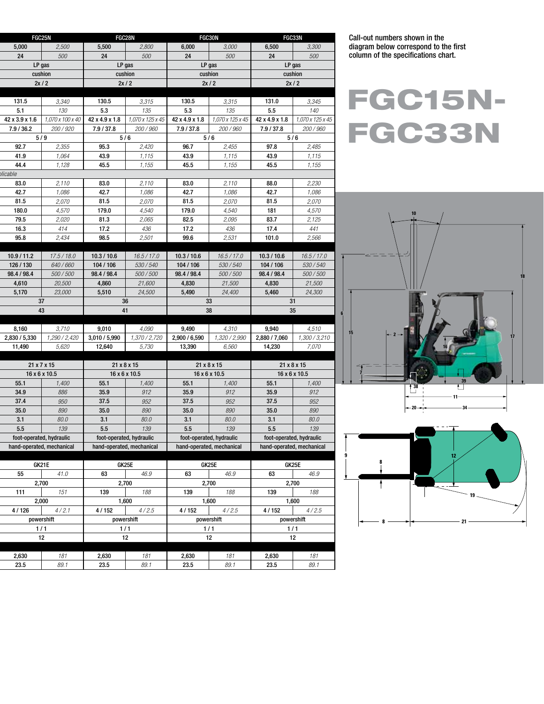| 5,000<br>2,500<br>5,500<br>2,800<br>6,000<br>3,000<br>6,500<br>3,300<br>24<br>500<br>24<br>500<br>24<br>500<br>500<br>24<br>LP gas<br>$LP$ gas<br>LP gas<br>LP gas<br>cushion<br>cushion<br>cushion<br>cushion<br>2x/2<br>2x/2<br>2x/2<br>2x/2<br>3,315<br>130.5<br>3,345<br>131.5<br>3,340<br>130.5<br>3,315<br>131.0<br>5.1<br>5.3<br>5.3<br>5.5<br>140<br>130<br>135<br>135<br>42 x 3.9 x 1.6<br>1,070 x 125 x 45<br>1,070 x 100 x 40<br>$42 \times 4.9 \times 1.8$<br>42 x 4.9 x 1.8<br>1,070 x 125 x 45<br>42 x 4.9 x 1.8 $\vert$ 1,070 x 125 x 45 |             |  |
|---------------------------------------------------------------------------------------------------------------------------------------------------------------------------------------------------------------------------------------------------------------------------------------------------------------------------------------------------------------------------------------------------------------------------------------------------------------------------------------------------------------------------------------------------------|-------------|--|
|                                                                                                                                                                                                                                                                                                                                                                                                                                                                                                                                                         |             |  |
|                                                                                                                                                                                                                                                                                                                                                                                                                                                                                                                                                         |             |  |
|                                                                                                                                                                                                                                                                                                                                                                                                                                                                                                                                                         |             |  |
|                                                                                                                                                                                                                                                                                                                                                                                                                                                                                                                                                         |             |  |
|                                                                                                                                                                                                                                                                                                                                                                                                                                                                                                                                                         |             |  |
|                                                                                                                                                                                                                                                                                                                                                                                                                                                                                                                                                         |             |  |
|                                                                                                                                                                                                                                                                                                                                                                                                                                                                                                                                                         |             |  |
|                                                                                                                                                                                                                                                                                                                                                                                                                                                                                                                                                         |             |  |
| 7.9 / 37.8<br>7.9 / 37.8<br>7.9 / 37.8<br>7.9 / 36.2<br>200 / 920<br>200 / 960<br><i>200 / 960</i><br><i>200 / 960</i>                                                                                                                                                                                                                                                                                                                                                                                                                                  |             |  |
| 5/9<br>5/6<br>5/6<br>5/6                                                                                                                                                                                                                                                                                                                                                                                                                                                                                                                                |             |  |
| 92.7<br>95.3<br>96.7<br>97.8<br>2,355<br>2,420<br>2,455<br>2,485                                                                                                                                                                                                                                                                                                                                                                                                                                                                                        |             |  |
| 41.9<br>1,064<br>43.9<br>43.9<br>1,115<br>1,115<br>43.9<br>1,115                                                                                                                                                                                                                                                                                                                                                                                                                                                                                        |             |  |
| 44.4<br>45.5<br>45.5<br>1,155<br>1,128<br>1,155<br>1,155<br>45.5                                                                                                                                                                                                                                                                                                                                                                                                                                                                                        |             |  |
| icable                                                                                                                                                                                                                                                                                                                                                                                                                                                                                                                                                  |             |  |
| 83.0<br>2,110<br>83.0<br>2,110<br>83.0<br>2,110<br>88.0<br>2,230                                                                                                                                                                                                                                                                                                                                                                                                                                                                                        |             |  |
| 42.7<br>1,086<br>42.7<br>1,086<br>42.7<br>1,086<br>42.7<br>1,086                                                                                                                                                                                                                                                                                                                                                                                                                                                                                        |             |  |
| 81.5<br>2,070<br>81.5<br>81.5<br>2,070<br>2,070<br>81.5<br>2,070                                                                                                                                                                                                                                                                                                                                                                                                                                                                                        |             |  |
| 4,570<br>4,540<br>180.0<br>179.0<br>4,540<br>179.0<br>4,570<br>181                                                                                                                                                                                                                                                                                                                                                                                                                                                                                      |             |  |
| 79.5<br>2,020<br>81.3<br>2,065<br>82.5<br>2,125<br>2,095<br>83.7<br>16.3<br>414<br>17.2<br>436<br>17.2<br>436<br>441<br>17.4                                                                                                                                                                                                                                                                                                                                                                                                                            |             |  |
| 95.8<br>2,434<br>98.5<br>2,501<br>99.6<br>2,531<br>2,566<br>101.0                                                                                                                                                                                                                                                                                                                                                                                                                                                                                       |             |  |
|                                                                                                                                                                                                                                                                                                                                                                                                                                                                                                                                                         |             |  |
| 10.9 / 11.2<br>17.5 / 18.0<br>10.3 / 10.6<br>16.5 / 17.0<br>16.5 / 17.0<br>16.5 / 17.0<br>10.3 / 10.6<br>10.3 / 10.6                                                                                                                                                                                                                                                                                                                                                                                                                                    |             |  |
| 640/660<br>104 / 106<br>530/540<br>126 / 130<br>104/106<br>530/540<br>104 / 106<br>530 / 540                                                                                                                                                                                                                                                                                                                                                                                                                                                            |             |  |
| 500/500<br>98.4 / 98.4<br>500/500<br>98.4 / 98.4<br>98.4 / 98.4<br>500/500<br>98.4 / 98.4<br>500 / 500                                                                                                                                                                                                                                                                                                                                                                                                                                                  |             |  |
| 4,610<br>4,860<br>20,500<br>21,600<br>4,830<br>21,500<br>4,830<br>21,500                                                                                                                                                                                                                                                                                                                                                                                                                                                                                |             |  |
| 5,170<br>23,000<br>5,510<br>24,500<br>5,490<br>24,400<br>5,460<br>24,300                                                                                                                                                                                                                                                                                                                                                                                                                                                                                |             |  |
| 37<br>36<br>33<br>31                                                                                                                                                                                                                                                                                                                                                                                                                                                                                                                                    |             |  |
| 43<br>41<br>38<br>35                                                                                                                                                                                                                                                                                                                                                                                                                                                                                                                                    |             |  |
|                                                                                                                                                                                                                                                                                                                                                                                                                                                                                                                                                         |             |  |
| 4,090<br>8,160<br>3,710<br>9,010<br>9,490<br>4,310<br>9,940<br>4,510                                                                                                                                                                                                                                                                                                                                                                                                                                                                                    |             |  |
| 2,830 / 5,330<br>1,290 / 2,420<br>1,370 / 2,720<br>2,900 / 6,590<br>2,880 / 7,060<br>1,300 / 3,210<br>3,010 / 5,990<br>1,320 / 2,990                                                                                                                                                                                                                                                                                                                                                                                                                    |             |  |
| 11,490<br>5,620<br>12,640<br>5,730<br>13,390<br>6,560<br>14,230<br>7,070                                                                                                                                                                                                                                                                                                                                                                                                                                                                                |             |  |
|                                                                                                                                                                                                                                                                                                                                                                                                                                                                                                                                                         |             |  |
|                                                                                                                                                                                                                                                                                                                                                                                                                                                                                                                                                         |             |  |
| $21 \times 8 \times 15$<br>$21 \times 8 \times 15$<br>$21 \times 8 \times 15$                                                                                                                                                                                                                                                                                                                                                                                                                                                                           | 21 x 7 x 15 |  |
| $16 \times 6 \times 10.5$<br>$16 \times 6 \times 10.5$<br>$16 \times 6 \times 10.5$<br>16 x 6 x 10.5                                                                                                                                                                                                                                                                                                                                                                                                                                                    |             |  |
| 55.1<br>1,400<br>55.1<br>1,400<br>55.1<br>1,400<br>1,400<br>55.1<br>886<br>34.9<br>35.9<br>912<br>35.9<br>912<br>35.9<br>912                                                                                                                                                                                                                                                                                                                                                                                                                            |             |  |
| 37.4<br>950<br>952<br>37.5<br>952<br>37.5<br>37.5<br>952                                                                                                                                                                                                                                                                                                                                                                                                                                                                                                |             |  |
| 35.0<br>890<br>35.0<br>890<br>35.0<br>890<br>35.0                                                                                                                                                                                                                                                                                                                                                                                                                                                                                                       |             |  |
| 80.0<br>3.1<br>80.0<br>3.1<br>80.0<br>80.0<br>3.1<br>3.1                                                                                                                                                                                                                                                                                                                                                                                                                                                                                                |             |  |
| 139<br>5.5<br>139<br>5.5<br>139<br>5.5<br>5.5<br>139                                                                                                                                                                                                                                                                                                                                                                                                                                                                                                    |             |  |
| foot-operated, hydraulic<br>foot-operated, hydraulic<br>foot-operated, hydraulic<br>foot-operated, hydraulic                                                                                                                                                                                                                                                                                                                                                                                                                                            |             |  |
| hand-operated, mechanical<br>hand-operated, mechanical<br>hand-operated, mechanical<br>hand-operated, mechanical                                                                                                                                                                                                                                                                                                                                                                                                                                        |             |  |
|                                                                                                                                                                                                                                                                                                                                                                                                                                                                                                                                                         |             |  |
| GK21E<br>GK25E<br>GK25E<br>GK25E                                                                                                                                                                                                                                                                                                                                                                                                                                                                                                                        |             |  |
| 55<br>41.0<br>63<br>46.9<br>46.9<br>63<br>46.9<br>63                                                                                                                                                                                                                                                                                                                                                                                                                                                                                                    |             |  |
| 2,700<br>2,700<br>2,700<br>2,700<br>139<br>111<br>139                                                                                                                                                                                                                                                                                                                                                                                                                                                                                                   |             |  |
| 139<br>151<br>188<br>188<br>188<br>2,000<br>1,600<br>1,600<br>1,600                                                                                                                                                                                                                                                                                                                                                                                                                                                                                     |             |  |
| 4/126<br>4/2.1<br>4/152<br>4/2.5<br>4/152<br>4/2.5<br>4/152<br>4/2.5                                                                                                                                                                                                                                                                                                                                                                                                                                                                                    |             |  |
| powershift<br>powershift<br>powershift<br>powershift                                                                                                                                                                                                                                                                                                                                                                                                                                                                                                    |             |  |
| 1/1<br>1/1<br>1/1<br>1/1                                                                                                                                                                                                                                                                                                                                                                                                                                                                                                                                |             |  |
| 12<br>12<br>12<br>12                                                                                                                                                                                                                                                                                                                                                                                                                                                                                                                                    |             |  |
|                                                                                                                                                                                                                                                                                                                                                                                                                                                                                                                                                         |             |  |
| 2,630<br>2,630<br>2,630<br>181<br>181<br>181<br>2,630<br>181<br>23.5<br>89.1<br>23.5<br>89.1<br>23.5<br>89.1<br>23.5<br>89.1                                                                                                                                                                                                                                                                                                                                                                                                                            |             |  |

Call-out numbers shown in the diagram below correspond to the first column of the specifications chart.

FGC15N-FGC33N